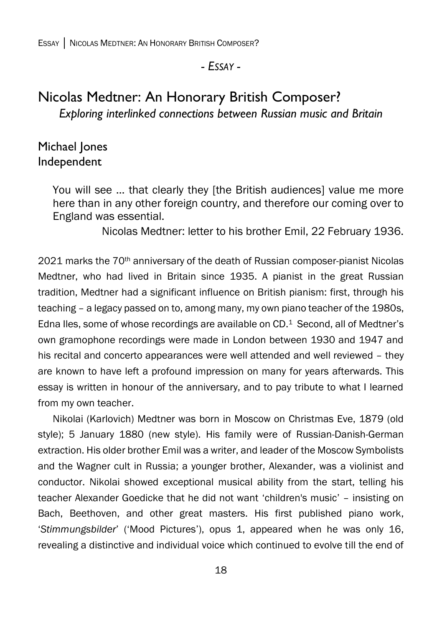### *- ESSAY -*

# Nicolas Medtner: An Honorary British Composer? *Exploring interlinked connections between Russian music and Britain*

## Michael Jones Independent

You will see … that clearly they [the British audiences] value me more here than in any other foreign country, and therefore our coming over to England was essential.

Nicolas Medtner: letter to his brother Emil, 22 February 1936.

2021 marks the 70th anniversary of the death of Russian composer-pianist Nicolas Medtner, who had lived in Britain since 1935. A pianist in the great Russian tradition, Medtner had a significant influence on British pianism: first, through his teaching – a legacy passed on to, among many, my own piano teacher of the 1980s, Edna Iles, some of whose recordings are available on CD. <sup>1</sup> Second, all of Medtner's own gramophone recordings were made in London between 1930 and 1947 and his recital and concerto appearances were well attended and well reviewed - they are known to have left a profound impression on many for years afterwards. This essay is written in honour of the anniversary, and to pay tribute to what I learned from my own teacher.

Nikolai (Karlovich) Medtner was born in Moscow on Christmas Eve, 1879 (old style); 5 January 1880 (new style). His family were of Russian-Danish-German extraction. His older brother Emil was a writer, and leader of the Moscow Symbolists and the Wagner cult in Russia; a younger brother, Alexander, was a violinist and conductor. Nikolai showed exceptional musical ability from the start, telling his teacher Alexander Goedicke that he did not want 'children's music' – insisting on Bach, Beethoven, and other great masters. His first published piano work, '*Stimmungsbilder*' ('Mood Pictures'), opus 1, appeared when he was only 16, revealing a distinctive and individual voice which continued to evolve till the end of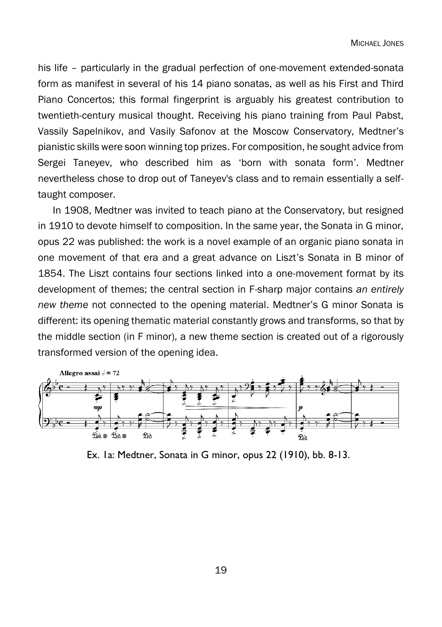his life – particularly in the gradual perfection of one-movement extended-sonata form as manifest in several of his 14 piano sonatas, as well as his First and Third Piano Concertos; this formal fingerprint is arguably his greatest contribution to twentieth-century musical thought. Receiving his piano training from Paul Pabst, Vassily Sapelnikov, and Vasily Safonov at the Moscow Conservatory, Medtner's pianistic skills were soon winning top prizes. For composition, he sought advice from Sergei Taneyev, who described him as 'born with sonata form'. Medtner nevertheless chose to drop out of Taneyev's class and to remain essentially a selftaught composer.

In 1908, Medtner was invited to teach piano at the Conservatory, but resigned in 1910 to devote himself to composition. In the same year, the Sonata in G minor, opus 22 was published: the work is a novel example of an organic piano sonata in one movement of that era and a great advance on Liszt's Sonata in B minor of 1854. The Liszt contains four sections linked into a one-movement format by its development of themes; the central section in F-sharp major contains *an entirely new theme* not connected to the opening material. Medtner's G minor Sonata is different: its opening thematic material constantly grows and transforms, so that by the middle section (in F minor), a new theme section is created out of a rigorously transformed version of the opening idea.



Ex. 1a: Medtner, Sonata in G minor, opus 22 (1910), bb. 8-13.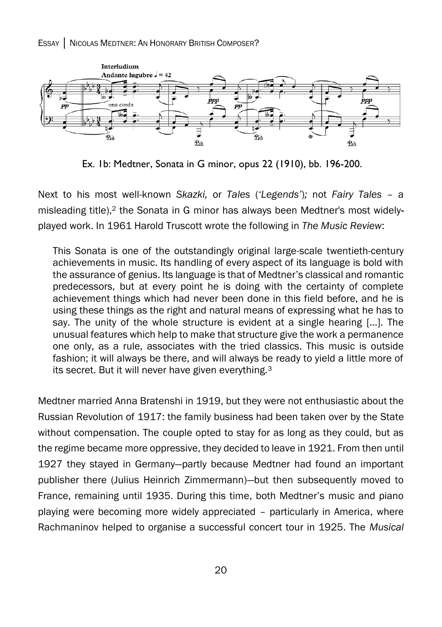ESSAY │ NICOLAS MEDTNER: AN HONORARY BRITISH COMPOSER?



Ex. 1b: Medtner, Sonata in G minor, opus 22 (1910), bb. 196-200.

Next to his most well-known *Skazki,* or *Tales* (*'Legends'*)*;* not *Fairy Tales* – a misleading title), <sup>2</sup> the Sonata in G minor has always been Medtner's most widelyplayed work. In 1961 Harold Truscott wrote the following in *The Music Review*:

This Sonata is one of the outstandingly original large-scale twentieth-century achievements in music. Its handling of every aspect of its language is bold with the assurance of genius. Its language is that of Medtner's classical and romantic predecessors, but at every point he is doing with the certainty of complete achievement things which had never been done in this field before, and he is using these things as the right and natural means of expressing what he has to say. The unity of the whole structure is evident at a single hearing […]. The unusual features which help to make that structure give the work a permanence one only, as a rule, associates with the tried classics. This music is outside fashion; it will always be there, and will always be ready to yield a little more of its secret. But it will never have given everything.<sup>3</sup>

Medtner married Anna Bratenshi in 1919, but they were not enthusiastic about the Russian Revolution of 1917: the family business had been taken over by the State without compensation. The couple opted to stay for as long as they could, but as the regime became more oppressive, they decided to leave in 1921. From then until 1927 they stayed in Germany—partly because Medtner had found an important publisher there (Julius Heinrich Zimmermann)—but then subsequently moved to France, remaining until 1935. During this time, both Medtner's music and piano playing were becoming more widely appreciated – particularly in America, where Rachmaninov helped to organise a successful concert tour in 1925. The *Musical*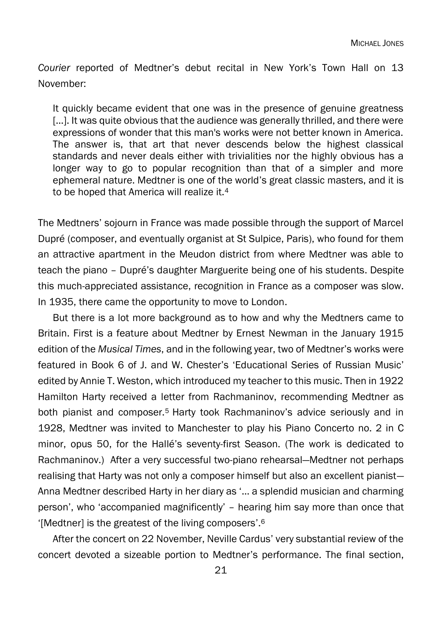*Courier* reported of Medtner's debut recital in New York's Town Hall on 13 November:

It quickly became evident that one was in the presence of genuine greatness [...]. It was quite obvious that the audience was generally thrilled, and there were expressions of wonder that this man's works were not better known in America. The answer is, that art that never descends below the highest classical standards and never deals either with trivialities nor the highly obvious has a longer way to go to popular recognition than that of a simpler and more ephemeral nature. Medtner is one of the world's great classic masters, and it is to be hoped that America will realize it.<sup>4</sup>

The Medtners' sojourn in France was made possible through the support of Marcel Dupré (composer, and eventually organist at St Sulpice, Paris), who found for them an attractive apartment in the Meudon district from where Medtner was able to teach the piano – Dupré's daughter Marguerite being one of his students. Despite this much-appreciated assistance, recognition in France as a composer was slow. In 1935, there came the opportunity to move to London.

But there is a lot more background as to how and why the Medtners came to Britain. First is a feature about Medtner by Ernest Newman in the January 1915 edition of the *Musical Times*, and in the following year, two of Medtner's works were featured in Book 6 of J. and W. Chester's 'Educational Series of Russian Music' edited by Annie T. Weston, which introduced my teacher to this music. Then in 1922 Hamilton Harty received a letter from Rachmaninov, recommending Medtner as both pianist and composer.<sup>5</sup> Harty took Rachmaninov's advice seriously and in 1928, Medtner was invited to Manchester to play his Piano Concerto no. 2 in C minor, opus 50, for the Hallé's seventy-first Season. (The work is dedicated to Rachmaninov.) After a very successful two-piano rehearsal—Medtner not perhaps realising that Harty was not only a composer himself but also an excellent pianist— Anna Medtner described Harty in her diary as '… a splendid musician and charming person', who 'accompanied magnificently' – hearing him say more than once that '[Medtner] is the greatest of the living composers'. 6

After the concert on 22 November, Neville Cardus' very substantial review of the concert devoted a sizeable portion to Medtner's performance. The final section,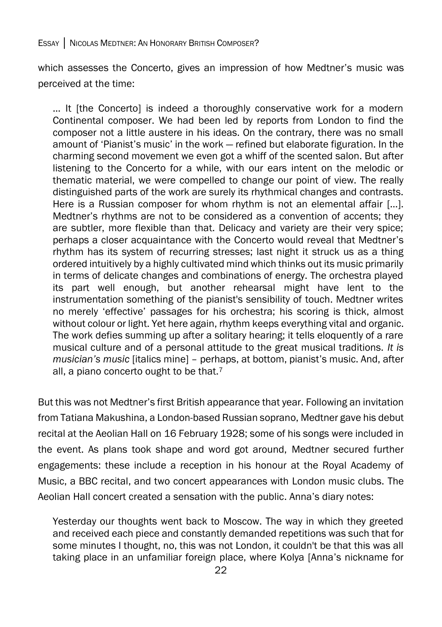#### ESSAY │ NICOLAS MEDTNER: AN HONORARY BRITISH COMPOSER?

which assesses the Concerto, gives an impression of how Medtner's music was perceived at the time:

… It [the Concerto] is indeed a thoroughly conservative work for a modern Continental composer. We had been led by reports from London to find the composer not a little austere in his ideas. On the contrary, there was no small amount of 'Pianist's music' in the work — refined but elaborate figuration. In the charming second movement we even got a whiff of the scented salon. But after listening to the Concerto for a while, with our ears intent on the melodic or thematic material, we were compelled to change our point of view. The really distinguished parts of the work are surely its rhythmical changes and contrasts. Here is a Russian composer for whom rhythm is not an elemental affair […]. Medtner's rhythms are not to be considered as a convention of accents; they are subtler, more flexible than that. Delicacy and variety are their very spice; perhaps a closer acquaintance with the Concerto would reveal that Medtner's rhythm has its system of recurring stresses; last night it struck us as a thing ordered intuitively by a highly cultivated mind which thinks out its music primarily in terms of delicate changes and combinations of energy. The orchestra played its part well enough, but another rehearsal might have lent to the instrumentation something of the pianist's sensibility of touch. Medtner writes no merely 'effective' passages for his orchestra; his scoring is thick, almost without colour or light. Yet here again, rhythm keeps everything vital and organic. The work defies summing up after a solitary hearing; it tells eloquently of a rare musical culture and of a personal attitude to the great musical traditions. *It is musician's music* [italics mine] – perhaps, at bottom, pianist's music. And, after all, a piano concerto ought to be that.<sup>7</sup>

But this was not Medtner's first British appearance that year. Following an invitation from Tatiana Makushina, a London-based Russian soprano, Medtner gave his debut recital at the Aeolian Hall on 16 February 1928; some of his songs were included in the event. As plans took shape and word got around, Medtner secured further engagements: these include a reception in his honour at the Royal Academy of Music, a BBC recital, and two concert appearances with London music clubs. The Aeolian Hall concert created a sensation with the public. Anna's diary notes:

Yesterday our thoughts went back to Moscow. The way in which they greeted and received each piece and constantly demanded repetitions was such that for some minutes I thought, no, this was not London, it couldn't be that this was all taking place in an unfamiliar foreign place, where Kolya [Anna's nickname for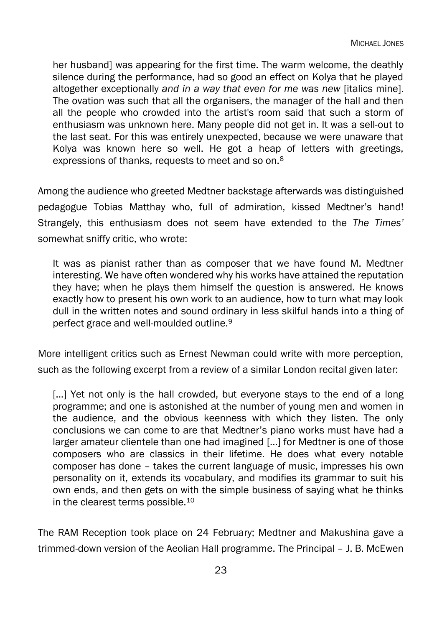her husband] was appearing for the first time. The warm welcome, the deathly silence during the performance, had so good an effect on Kolya that he played altogether exceptionally *and in a way that even for me was new* [italics mine]. The ovation was such that all the organisers, the manager of the hall and then all the people who crowded into the artist's room said that such a storm of enthusiasm was unknown here. Many people did not get in. It was a sell-out to the last seat. For this was entirely unexpected, because we were unaware that Kolya was known here so well. He got a heap of letters with greetings, expressions of thanks, requests to meet and so on.<sup>8</sup>

Among the audience who greeted Medtner backstage afterwards was distinguished pedagogue Tobias Matthay who, full of admiration, kissed Medtner's hand! Strangely, this enthusiasm does not seem have extended to the *The Times'*  somewhat sniffy critic, who wrote:

It was as pianist rather than as composer that we have found M. Medtner interesting. We have often wondered why his works have attained the reputation they have; when he plays them himself the question is answered. He knows exactly how to present his own work to an audience, how to turn what may look dull in the written notes and sound ordinary in less skilful hands into a thing of perfect grace and well-moulded outline.<sup>9</sup>

More intelligent critics such as Ernest Newman could write with more perception, such as the following excerpt from a review of a similar London recital given later:

[...] Yet not only is the hall crowded, but everyone stays to the end of a long programme; and one is astonished at the number of young men and women in the audience, and the obvious keenness with which they listen. The only conclusions we can come to are that Medtner's piano works must have had a larger amateur clientele than one had imagined […] for Medtner is one of those composers who are classics in their lifetime. He does what every notable composer has done – takes the current language of music, impresses his own personality on it, extends its vocabulary, and modifies its grammar to suit his own ends, and then gets on with the simple business of saying what he thinks in the clearest terms possible.<sup>10</sup>

The RAM Reception took place on 24 February; Medtner and Makushina gave a trimmed-down version of the Aeolian Hall programme. The Principal – J. B. McEwen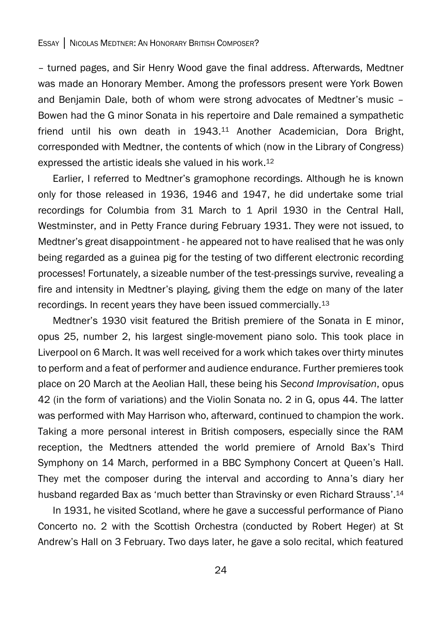– turned pages, and Sir Henry Wood gave the final address. Afterwards, Medtner was made an Honorary Member. Among the professors present were York Bowen and Benjamin Dale, both of whom were strong advocates of Medtner's music – Bowen had the G minor Sonata in his repertoire and Dale remained a sympathetic friend until his own death in 1943.<sup>11</sup> Another Academician, Dora Bright, corresponded with Medtner, the contents of which (now in the Library of Congress) expressed the artistic ideals she valued in his work. 12

Earlier, I referred to Medtner's gramophone recordings. Although he is known only for those released in 1936, 1946 and 1947, he did undertake some trial recordings for Columbia from 31 March to 1 April 1930 in the Central Hall, Westminster, and in Petty France during February 1931. They were not issued, to Medtner's great disappointment - he appeared not to have realised that he was only being regarded as a guinea pig for the testing of two different electronic recording processes! Fortunately, a sizeable number of the test-pressings survive, revealing a fire and intensity in Medtner's playing, giving them the edge on many of the later recordings. In recent years they have been issued commercially.<sup>13</sup>

Medtner's 1930 visit featured the British premiere of the Sonata in E minor, opus 25, number 2, his largest single-movement piano solo. This took place in Liverpool on 6 March. It was well received for a work which takes over thirty minutes to perform and a feat of performer and audience endurance. Further premieres took place on 20 March at the Aeolian Hall, these being his *Second Improvisation*, opus 42 (in the form of variations) and the Violin Sonata no. 2 in G, opus 44. The latter was performed with May Harrison who, afterward, continued to champion the work. Taking a more personal interest in British composers, especially since the RAM reception, the Medtners attended the world premiere of Arnold Bax's Third Symphony on 14 March, performed in a BBC Symphony Concert at Queen's Hall. They met the composer during the interval and according to Anna's diary her husband regarded Bax as 'much better than Stravinsky or even Richard Strauss'.<sup>14</sup>

In 1931, he visited Scotland, where he gave a successful performance of Piano Concerto no. 2 with the Scottish Orchestra (conducted by Robert Heger) at St Andrew's Hall on 3 February. Two days later, he gave a solo recital, which featured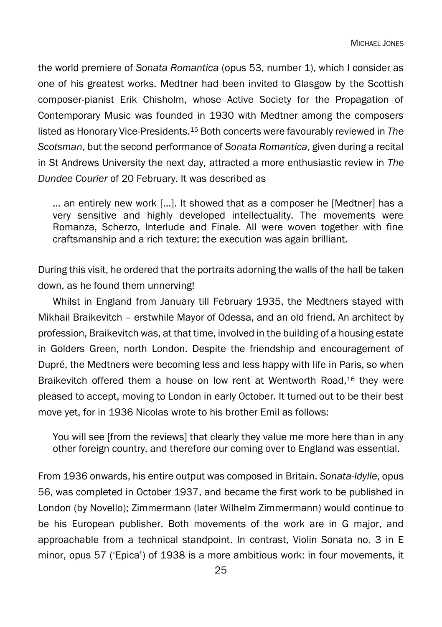the world premiere of *Sonata Romantica* (opus 53, number 1), which I consider as one of his greatest works. Medtner had been invited to Glasgow by the Scottish composer-pianist Erik Chisholm, whose Active Society for the Propagation of Contemporary Music was founded in 1930 with Medtner among the composers listed as Honorary Vice-Presidents. <sup>15</sup> Both concerts were favourably reviewed in *The Scotsman*, but the second performance of *Sonata Romantica*, given during a recital in St Andrews University the next day, attracted a more enthusiastic review in *The Dundee Courier* of 20 February. It was described as

… an entirely new work [...]. It showed that as a composer he [Medtner] has a very sensitive and highly developed intellectuality. The movements were Romanza, Scherzo, Interlude and Finale. All were woven together with fine craftsmanship and a rich texture; the execution was again brilliant.

During this visit, he ordered that the portraits adorning the walls of the hall be taken down, as he found them unnerving!

Whilst in England from January till February 1935, the Medtners stayed with Mikhail Braikevitch – erstwhile Mayor of Odessa, and an old friend. An architect by profession, Braikevitch was, at that time, involved in the building of a housing estate in Golders Green, north London. Despite the friendship and encouragement of Dupré, the Medtners were becoming less and less happy with life in Paris, so when Braikevitch offered them a house on low rent at Wentworth Road,<sup>16</sup> they were pleased to accept, moving to London in early October. It turned out to be their best move yet, for in 1936 Nicolas wrote to his brother Emil as follows:

You will see [from the reviews] that clearly they value me more here than in any other foreign country, and therefore our coming over to England was essential.

From 1936 onwards, his entire output was composed in Britain. *Sonata-Idylle*, opus 56, was completed in October 1937, and became the first work to be published in London (by Novello); Zimmermann (later Wilhelm Zimmermann) would continue to be his European publisher. Both movements of the work are in G major, and approachable from a technical standpoint. In contrast, Violin Sonata no. 3 in E minor, opus 57 ('Epica') of 1938 is a more ambitious work: in four movements, it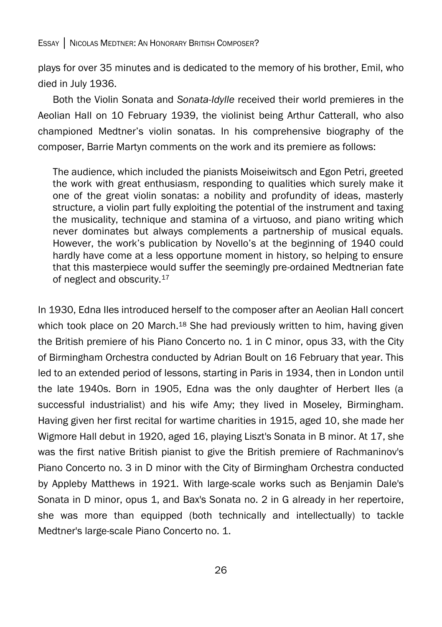plays for over 35 minutes and is dedicated to the memory of his brother, Emil, who died in July 1936.

Both the Violin Sonata and *Sonata-Idylle* received their world premieres in the Aeolian Hall on 10 February 1939, the violinist being Arthur Catterall, who also championed Medtner's violin sonatas. In his comprehensive biography of the composer, Barrie Martyn comments on the work and its premiere as follows:

The audience, which included the pianists Moiseiwitsch and Egon Petri, greeted the work with great enthusiasm, responding to qualities which surely make it one of the great violin sonatas: a nobility and profundity of ideas, masterly structure, a violin part fully exploiting the potential of the instrument and taxing the musicality, technique and stamina of a virtuoso, and piano writing which never dominates but always complements a partnership of musical equals. However, the work's publication by Novello's at the beginning of 1940 could hardly have come at a less opportune moment in history, so helping to ensure that this masterpiece would suffer the seemingly pre-ordained Medtnerian fate of neglect and obscurity.<sup>17</sup>

In 1930, Edna Iles introduced herself to the composer after an Aeolian Hall concert which took place on 20 March.<sup>18</sup> She had previously written to him, having given the British premiere of his Piano Concerto no. 1 in C minor, opus 33, with the City of Birmingham Orchestra conducted by Adrian Boult on 16 February that year. This led to an extended period of lessons, starting in Paris in 1934, then in London until the late 1940s. Born in 1905, Edna was the only daughter of Herbert Iles (a successful industrialist) and his wife Amy; they lived in Moseley, Birmingham. Having given her first recital for wartime charities in 1915, aged 10, she made her Wigmore Hall debut in 1920, aged 16, playing Liszt's Sonata in B minor. At 17, she was the first native British pianist to give the British premiere of Rachmaninov's Piano Concerto no. 3 in D minor with the City of Birmingham Orchestra conducted by Appleby Matthews in 1921. With large-scale works such as Benjamin Dale's Sonata in D minor, opus 1, and Bax's Sonata no. 2 in G already in her repertoire, she was more than equipped (both technically and intellectually) to tackle Medtner's large-scale Piano Concerto no. 1.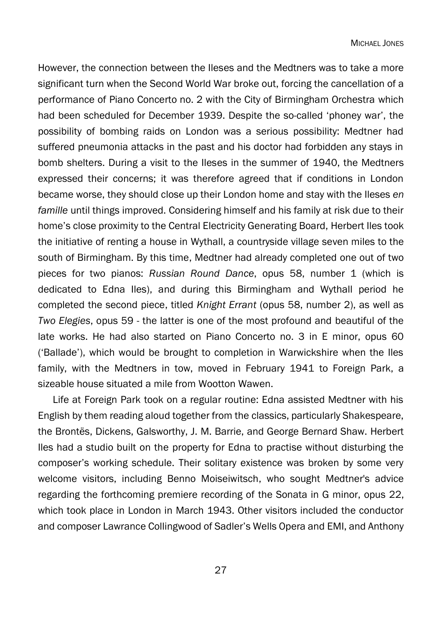However, the connection between the Ileses and the Medtners was to take a more significant turn when the Second World War broke out, forcing the cancellation of a performance of Piano Concerto no. 2 with the City of Birmingham Orchestra which had been scheduled for December 1939. Despite the so-called 'phoney war', the possibility of bombing raids on London was a serious possibility: Medtner had suffered pneumonia attacks in the past and his doctor had forbidden any stays in bomb shelters. During a visit to the Ileses in the summer of 1940, the Medtners expressed their concerns; it was therefore agreed that if conditions in London became worse, they should close up their London home and stay with the Ileses *en famille* until things improved. Considering himself and his family at risk due to their home's close proximity to the Central Electricity Generating Board, Herbert Iles took the initiative of renting a house in Wythall, a countryside village seven miles to the south of Birmingham. By this time, Medtner had already completed one out of two pieces for two pianos: *Russian Round Dance*, opus 58, number 1 (which is dedicated to Edna Iles), and during this Birmingham and Wythall period he completed the second piece, titled *Knight Errant* (opus 58, number 2), as well as *Two Elegies*, opus 59 - the latter is one of the most profound and beautiful of the late works. He had also started on Piano Concerto no. 3 in E minor, opus 60 ('Ballade'), which would be brought to completion in Warwickshire when the Iles family, with the Medtners in tow, moved in February 1941 to Foreign Park, a sizeable house situated a mile from Wootton Wawen.

Life at Foreign Park took on a regular routine: Edna assisted Medtner with his English by them reading aloud together from the classics, particularly Shakespeare, the Brontës, Dickens, Galsworthy, J. M. Barrie, and George Bernard Shaw. Herbert Iles had a studio built on the property for Edna to practise without disturbing the composer's working schedule. Their solitary existence was broken by some very welcome visitors, including Benno Moiseiwitsch, who sought Medtner's advice regarding the forthcoming premiere recording of the Sonata in G minor, opus 22, which took place in London in March 1943. Other visitors included the conductor and composer Lawrance Collingwood of Sadler's Wells Opera and EMI, and Anthony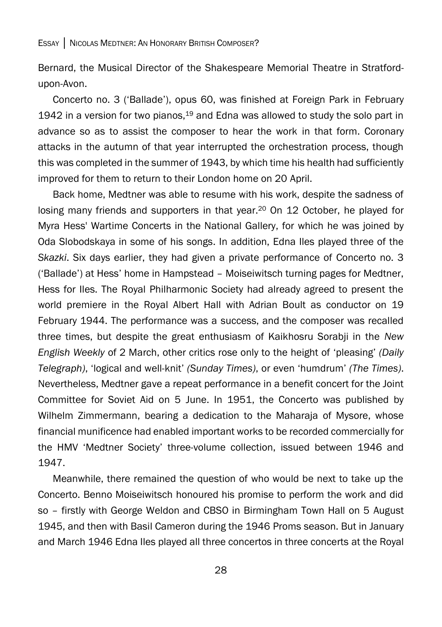Bernard, the Musical Director of the Shakespeare Memorial Theatre in Stratfordupon-Avon.

Concerto no. 3 ('Ballade'), opus 60, was finished at Foreign Park in February 1942 in a version for two pianos, $19$  and Edna was allowed to study the solo part in advance so as to assist the composer to hear the work in that form. Coronary attacks in the autumn of that year interrupted the orchestration process, though this was completed in the summer of 1943, by which time his health had sufficiently improved for them to return to their London home on 20 April.

Back home, Medtner was able to resume with his work, despite the sadness of losing many friends and supporters in that year.<sup>20</sup> On 12 October, he played for Myra Hess' Wartime Concerts in the National Gallery, for which he was joined by Oda Slobodskaya in some of his songs. In addition, Edna Iles played three of the *Skazki*. Six days earlier, they had given a private performance of Concerto no. 3 ('Ballade') at Hess' home in Hampstead – Moiseiwitsch turning pages for Medtner, Hess for Iles. The Royal Philharmonic Society had already agreed to present the world premiere in the Royal Albert Hall with Adrian Boult as conductor on 19 February 1944. The performance was a success, and the composer was recalled three times, but despite the great enthusiasm of Kaikhosru Sorabji in the *New English Weekly* of 2 March, other critics rose only to the height of 'pleasing' *(Daily Telegraph)*, 'logical and well-knit' *(Sunday Times)*, or even 'humdrum' *(The Times)*. Nevertheless, Medtner gave a repeat performance in a benefit concert for the Joint Committee for Soviet Aid on 5 June. In 1951, the Concerto was published by Wilhelm Zimmermann, bearing a dedication to the Maharaja of Mysore, whose financial munificence had enabled important works to be recorded commercially for the HMV 'Medtner Society' three-volume collection, issued between 1946 and 1947.

Meanwhile, there remained the question of who would be next to take up the Concerto. Benno Moiseiwitsch honoured his promise to perform the work and did so – firstly with George Weldon and CBSO in Birmingham Town Hall on 5 August 1945, and then with Basil Cameron during the 1946 Proms season. But in January and March 1946 Edna Iles played all three concertos in three concerts at the Royal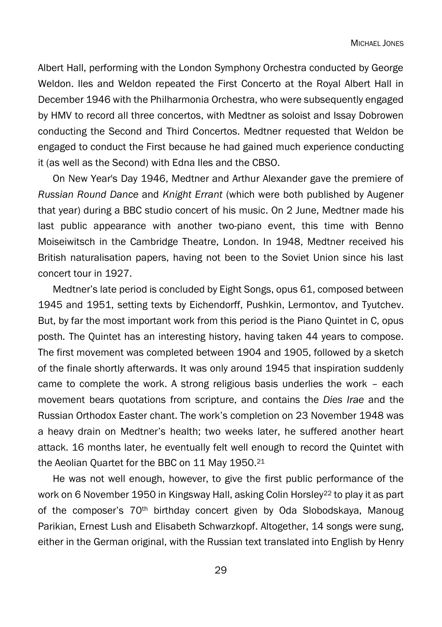Albert Hall, performing with the London Symphony Orchestra conducted by George Weldon. Iles and Weldon repeated the First Concerto at the Royal Albert Hall in December 1946 with the Philharmonia Orchestra, who were subsequently engaged by HMV to record all three concertos, with Medtner as soloist and Issay Dobrowen conducting the Second and Third Concertos. Medtner requested that Weldon be engaged to conduct the First because he had gained much experience conducting it (as well as the Second) with Edna Iles and the CBSO.

On New Year's Day 1946, Medtner and Arthur Alexander gave the premiere of *Russian Round Dance* and *Knight Errant* (which were both published by Augener that year) during a BBC studio concert of his music. On 2 June, Medtner made his last public appearance with another two-piano event, this time with Benno Moiseiwitsch in the Cambridge Theatre, London. In 1948, Medtner received his British naturalisation papers, having not been to the Soviet Union since his last concert tour in 1927.

Medtner's late period is concluded by Eight Songs, opus 61, composed between 1945 and 1951, setting texts by Eichendorff, Pushkin, Lermontov, and Tyutchev. But, by far the most important work from this period is the Piano Quintet in C, opus posth*.* The Quintet has an interesting history, having taken 44 years to compose. The first movement was completed between 1904 and 1905, followed by a sketch of the finale shortly afterwards. It was only around 1945 that inspiration suddenly came to complete the work. A strong religious basis underlies the work – each movement bears quotations from scripture, and contains the *Dies Irae* and the Russian Orthodox Easter chant. The work's completion on 23 November 1948 was a heavy drain on Medtner's health; two weeks later, he suffered another heart attack. 16 months later, he eventually felt well enough to record the Quintet with the Aeolian Quartet for the BBC on 11 May 1950. 21

He was not well enough, however, to give the first public performance of the work on 6 November 1950 in Kingsway Hall, asking Colin Horsley<sup>22</sup> to play it as part of the composer's 70th birthday concert given by Oda Slobodskaya, Manoug Parikian, Ernest Lush and Elisabeth Schwarzkopf. Altogether, 14 songs were sung, either in the German original, with the Russian text translated into English by Henry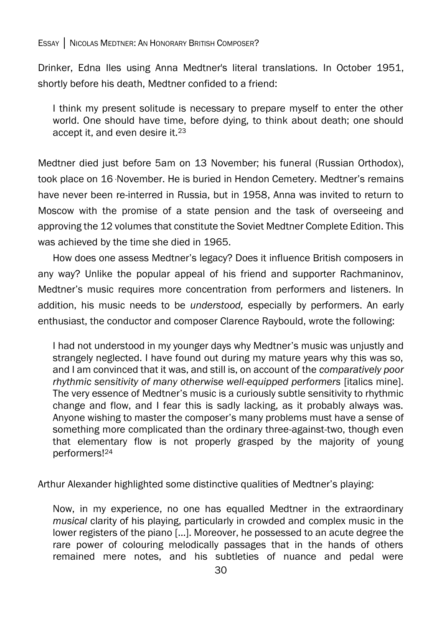Drinker, Edna Iles using Anna Medtner's literal translations. In October 1951, shortly before his death, Medtner confided to a friend:

I think my present solitude is necessary to prepare myself to enter the other world. One should have time, before dying, to think about death; one should accept it, and even desire it.<sup>23</sup>

Medtner died just before 5am on 13 November; his funeral (Russian Orthodox), took place on 16 November. He is buried in Hendon Cemetery. Medtner's remains have never been re-interred in Russia, but in 1958, Anna was invited to return to Moscow with the promise of a state pension and the task of overseeing and approving the 12 volumes that constitute the Soviet Medtner Complete Edition. This was achieved by the time she died in 1965.

How does one assess Medtner's legacy? Does it influence British composers in any way? Unlike the popular appeal of his friend and supporter Rachmaninov, Medtner's music requires more concentration from performers and listeners. In addition, his music needs to be *understood,* especially by performers. An early enthusiast, the conductor and composer Clarence Raybould, wrote the following:

I had not understood in my younger days why Medtner's music was unjustly and strangely neglected. I have found out during my mature years why this was so, and I am convinced that it was, and still is, on account of the *comparatively poor rhythmic sensitivity of many otherwise well-equipped performers [italics mine].* The very essence of Medtner's music is a curiously subtle sensitivity to rhythmic change and flow, and I fear this is sadly lacking, as it probably always was. Anyone wishing to master the composer's many problems must have a sense of something more complicated than the ordinary three-against-two, though even that elementary flow is not properly grasped by the majority of young performers!<sup>24</sup>

Arthur Alexander highlighted some distinctive qualities of Medtner's playing:

Now, in my experience, no one has equalled Medtner in the extraordinary *musical* clarity of his playing, particularly in crowded and complex music in the lower registers of the piano […]. Moreover, he possessed to an acute degree the rare power of colouring melodically passages that in the hands of others remained mere notes, and his subtleties of nuance and pedal were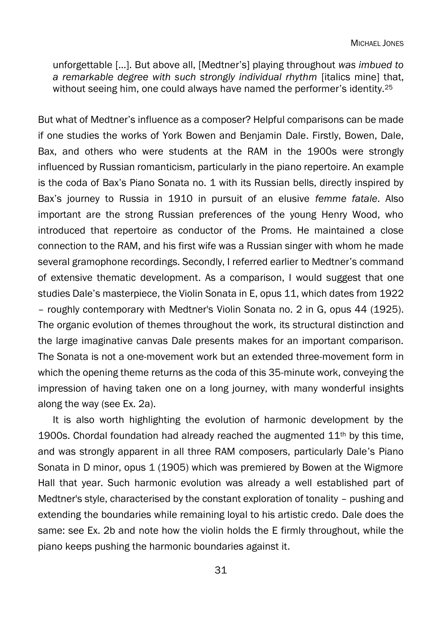unforgettable […]. But above all, [Medtner's] playing throughout *was imbued to a remarkable degree with such strongly individual rhythm* [italics mine] that, without seeing him, one could always have named the performer's identity.<sup>25</sup>

But what of Medtner's influence as a composer? Helpful comparisons can be made if one studies the works of York Bowen and Benjamin Dale. Firstly, Bowen, Dale, Bax, and others who were students at the RAM in the 1900s were strongly influenced by Russian romanticism, particularly in the piano repertoire. An example is the coda of Bax's Piano Sonata no. 1 with its Russian bells, directly inspired by Bax's journey to Russia in 1910 in pursuit of an elusive *femme fatale*. Also important are the strong Russian preferences of the young Henry Wood, who introduced that repertoire as conductor of the Proms. He maintained a close connection to the RAM, and his first wife was a Russian singer with whom he made several gramophone recordings. Secondly, I referred earlier to Medtner's command of extensive thematic development. As a comparison, I would suggest that one studies Dale's masterpiece, the Violin Sonata in E, opus 11, which dates from 1922 – roughly contemporary with Medtner's Violin Sonata no. 2 in G, opus 44 (1925). The organic evolution of themes throughout the work, its structural distinction and the large imaginative canvas Dale presents makes for an important comparison. The Sonata is not a one-movement work but an extended three-movement form in which the opening theme returns as the coda of this 35-minute work, conveying the impression of having taken one on a long journey, with many wonderful insights along the way (see Ex. 2a).

It is also worth highlighting the evolution of harmonic development by the 1900s. Chordal foundation had already reached the augmented  $11<sup>th</sup>$  by this time, and was strongly apparent in all three RAM composers, particularly Dale's Piano Sonata in D minor, opus 1 (1905) which was premiered by Bowen at the Wigmore Hall that year. Such harmonic evolution was already a well established part of Medtner's style, characterised by the constant exploration of tonality – pushing and extending the boundaries while remaining loyal to his artistic credo. Dale does the same: see Ex. 2b and note how the violin holds the E firmly throughout, while the piano keeps pushing the harmonic boundaries against it.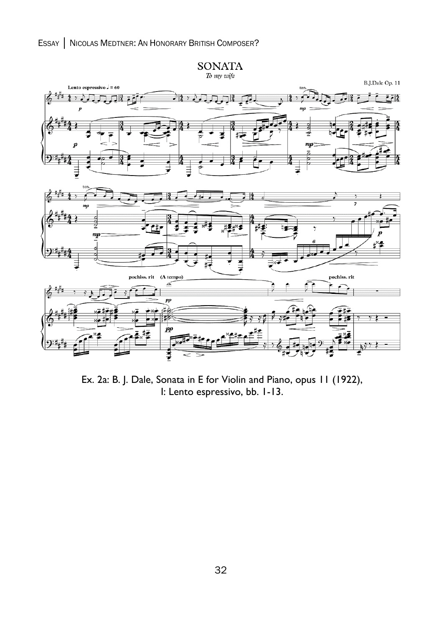

Ex. 2a: B. J. Dale, Sonata in E for Violin and Piano, opus 11 (1922), I: Lento espressivo, bb. 1-13.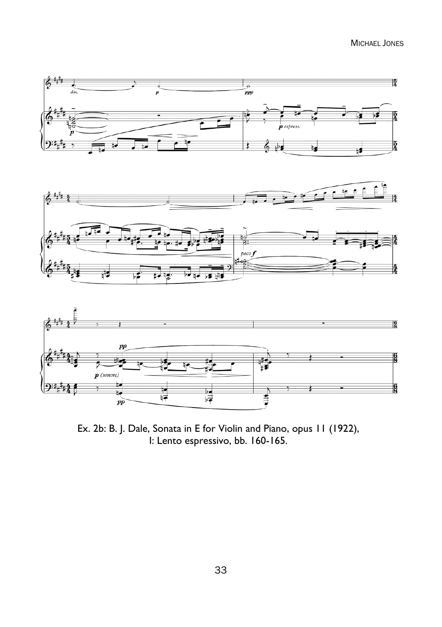MICHAEL JONES







Ex. 2b: B. J. Dale, Sonata in E for Violin and Piano, opus 11 (1922), I: Lento espressivo, bb. 160-165.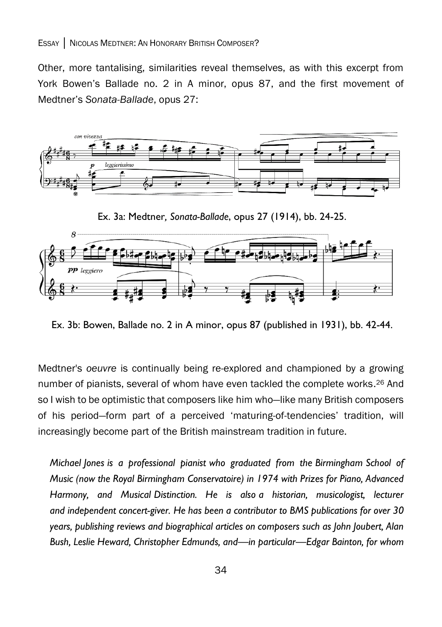Other, more tantalising, similarities reveal themselves, as with this excerpt from York Bowen's Ballade no. 2 in A minor, opus 87, and the first movement of Medtner's *Sonata-Ballade*, opus 27:



Ex. 3a: Medtner*, Sonata-Ballade*, opus 27 (1914), bb. 24-25.



Ex. 3b: Bowen, Ballade no. 2 in A minor, opus 87 (published in 1931), bb. 42-44.

Medtner's *oeuvre* is continually being re-explored and championed by a growing number of pianists, several of whom have even tackled the complete works. <sup>26</sup> And so I wish to be optimistic that composers like him who—like many British composers of his period—form part of a perceived 'maturing-of-tendencies' tradition, will increasingly become part of the British mainstream tradition in future.

*Michael Jones is a professional pianist who graduated from the Birmingham School of Music (now the Royal Birmingham Conservatoire) in 1974 with Prizes for Piano, Advanced Harmony, and Musical Distinction. He is also a historian, musicologist, lecturer and independent concert-giver. He has been a contributor to BMS publications for over 30 years, publishing reviews and biographical articles on composers such as John Joubert, Alan Bush, Leslie Heward, Christopher Edmunds, and—in particular—Edgar Bainton, for whom*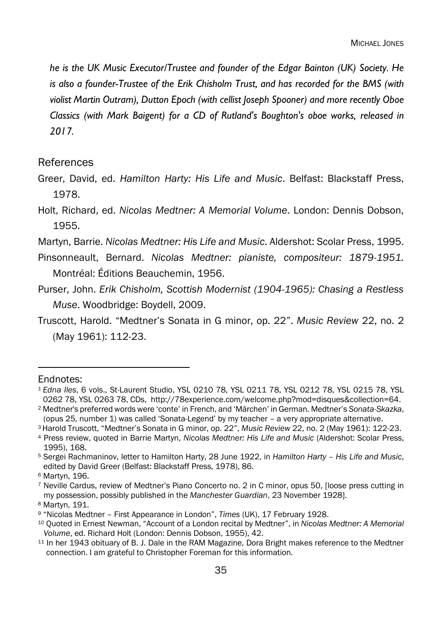*he is the UK Music Executor/Trustee and founder of the Edgar Bainton (UK) Society. He is also a founder-Trustee of the Erik Chisholm Trust, and has recorded for the BMS (with violist Martin Outram), Dutton Epoch (with cellist Joseph Spooner) and more recently Oboe Classics (with Mark Baigent) for a CD of Rutland's Boughton's oboe works, released in 2017.*

### **References**

- Greer, David, ed. *Hamilton Harty: His Life and Music*. Belfast: Blackstaff Press, 1978.
- Holt, Richard, ed. *Nicolas Medtner: A Memorial Volume*. London: Dennis Dobson, 1955.
- Martyn, Barrie. *Nicolas Medtner: His Life and Music*. Aldershot: Scolar Press, 1995.
- Pinsonneault, Bernard. *Nicolas Medtner: pianiste, compositeur: 1879-1951.*  Montréal: Éditions Beauchemin, 1956.
- Purser, John. *Erik Chisholm, Scottish Modernist (1904-1965): Chasing a Restless Muse*. Woodbridge: Boydell, 2009.
- Truscott, Harold. "Medtner's Sonata in G minor, op. 22". *Music Review* 22, no. 2 (May 1961): 112-23.

#### Endnotes:

<sup>6</sup> Martyn, 196.

<sup>8</sup> Martyn, 191.

<sup>1</sup> *Edna Iles*, 6 vols., St-Laurent Studio, YSL 0210 78, YSL 0211 78, YSL 0212 78, YSL 0215 78, YSL 0262 78, YSL 0263 78, CDs, http://78experience.com/welcome.php?mod=disques&collection=64.

<sup>2</sup> Medtner's preferred words were 'conte' in French, and 'Märchen' in German. Medtner's *Sonata-Skazka*, (opus 25, number 1) was called 'Sonata-Legend' by my teacher – a very appropriate alternative.

<sup>3</sup> Harold Truscott, "Medtner's Sonata in G minor, op. 22", *Music Review* 22, no. 2 (May 1961): 122-23.

<sup>4</sup> Press review, quoted in Barrie Martyn, *Nicolas Medtner: His Life and Music* (Aldershot: Scolar Press, 1995), 168.

<sup>5</sup> Sergei Rachmaninov, letter to Hamilton Harty, 28 June 1922, in *Hamilton Harty – His Life and Music*, edited by David Greer (Belfast: Blackstaff Press, 1978), 86.

<sup>7</sup> Neville Cardus, review of Medtner's Piano Concerto no. 2 in C minor, opus 50, [loose press cutting in my possession, possibly published in the *Manchester Guardian*, 23 November 1928].

<sup>9</sup> "Nicolas Medtner – First Appearance in London", *Times* (UK), 17 February 1928.

<sup>10</sup> Quoted in Ernest Newman, "Account of a London recital by Medtner", in *Nicolas Medtner: A Memorial Volume*, ed. Richard Holt (London: Dennis Dobson, 1955), 42.

<sup>11</sup> In her 1943 obituary of B. J. Dale in the RAM Magazine, Dora Bright makes reference to the Medtner connection. I am grateful to Christopher Foreman for this information.